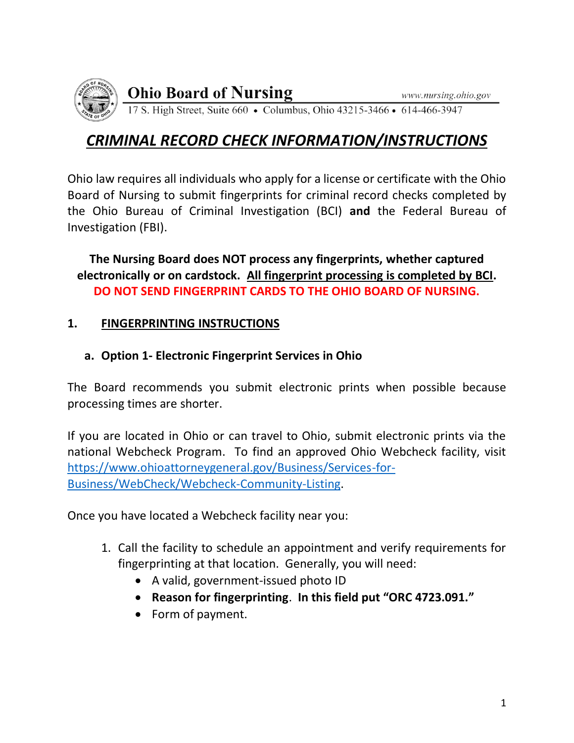

**Ohio Board of Nursing** 

17 S. High Street, Suite 660 • Columbus, Ohio 43215-3466 • 614-466-3947

# *CRIMINAL RECORD CHECK INFORMATION/INSTRUCTIONS*

Ohio law requires all individuals who apply for a license or certificate with the Ohio Board of Nursing to submit fingerprints for criminal record checks completed by the Ohio Bureau of Criminal Investigation (BCI) **and** the Federal Bureau of Investigation (FBI).

**The Nursing Board does NOT process any fingerprints, whether captured electronically or on cardstock. All fingerprint processing is completed by BCI. DO NOT SEND FINGERPRINT CARDS TO THE OHIO BOARD OF NURSING.**

## **1. FINGERPRINTING INSTRUCTIONS**

## **a. Option 1- Electronic Fingerprint Services in Ohio**

The Board recommends you submit electronic prints when possible because processing times are shorter.

If you are located in Ohio or can travel to Ohio, submit electronic prints via the national Webcheck Program. To find an approved Ohio Webcheck facility, visit [https://www.ohioattorneygeneral.gov/Business/Services-for-](https://www.ohioattorneygeneral.gov/Business/Services-for-Business/WebCheck/Webcheck-Community-Listing)[Business/WebCheck/Webcheck-Community-Listing.](https://www.ohioattorneygeneral.gov/Business/Services-for-Business/WebCheck/Webcheck-Community-Listing)

Once you have located a Webcheck facility near you:

- 1. Call the facility to schedule an appointment and verify requirements for fingerprinting at that location. Generally, you will need:
	- A valid, government-issued photo ID
	- **Reason for fingerprinting**. **In this field put "ORC 4723.091."**
	- Form of payment.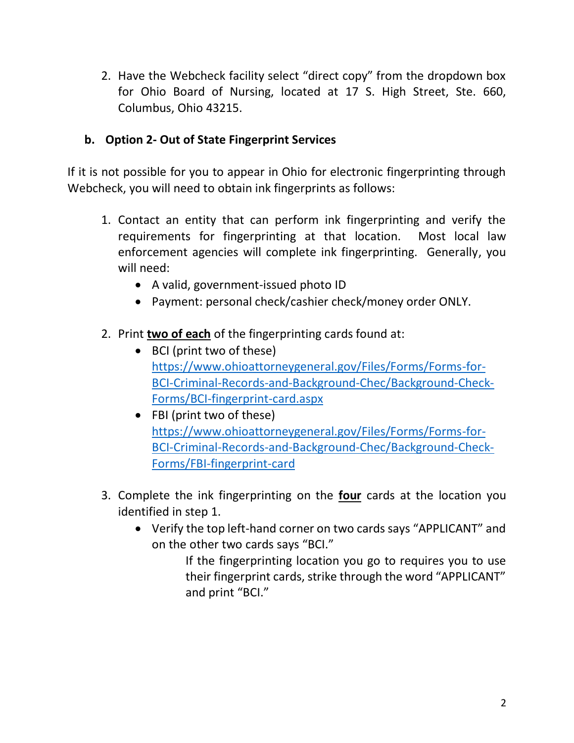2. Have the Webcheck facility select "direct copy" from the dropdown box for Ohio Board of Nursing, located at 17 S. High Street, Ste. 660, Columbus, Ohio 43215.

#### **b. Option 2- Out of State Fingerprint Services**

If it is not possible for you to appear in Ohio for electronic fingerprinting through Webcheck, you will need to obtain ink fingerprints as follows:

- 1. Contact an entity that can perform ink fingerprinting and verify the requirements for fingerprinting at that location. Most local law enforcement agencies will complete ink fingerprinting. Generally, you will need:
	- A valid, government-issued photo ID
	- Payment: personal check/cashier check/money order ONLY.
- 2. Print **two of each** of the fingerprinting cards found at:
	- BCI (print two of these) [https://www.ohioattorneygeneral.gov/Files/Forms/Forms-for-](https://www.ohioattorneygeneral.gov/Files/Forms/Forms-for-BCI-Criminal-Records-and-Background-Chec/Background-Check-Forms/BCI-fingerprint-card.aspx)[BCI-Criminal-Records-and-Background-Chec/Background-Check-](https://www.ohioattorneygeneral.gov/Files/Forms/Forms-for-BCI-Criminal-Records-and-Background-Chec/Background-Check-Forms/BCI-fingerprint-card.aspx)[Forms/BCI-fingerprint-card.aspx](https://www.ohioattorneygeneral.gov/Files/Forms/Forms-for-BCI-Criminal-Records-and-Background-Chec/Background-Check-Forms/BCI-fingerprint-card.aspx)
	- FBI (print two of these) [https://www.ohioattorneygeneral.gov/Files/Forms/Forms-for-](https://www.ohioattorneygeneral.gov/Files/Forms/Forms-for-BCI-Criminal-Records-and-Background-Chec/Background-Check-Forms/FBI-fingerprint-card)[BCI-Criminal-Records-and-Background-Chec/Background-Check-](https://www.ohioattorneygeneral.gov/Files/Forms/Forms-for-BCI-Criminal-Records-and-Background-Chec/Background-Check-Forms/FBI-fingerprint-card)[Forms/FBI-fingerprint-card](https://www.ohioattorneygeneral.gov/Files/Forms/Forms-for-BCI-Criminal-Records-and-Background-Chec/Background-Check-Forms/FBI-fingerprint-card)
- 3. Complete the ink fingerprinting on the **four** cards at the location you identified in step 1.
	- Verify the top left-hand corner on two cards says "APPLICANT" and on the other two cards says "BCI."

If the fingerprinting location you go to requires you to use their fingerprint cards, strike through the word "APPLICANT" and print "BCI."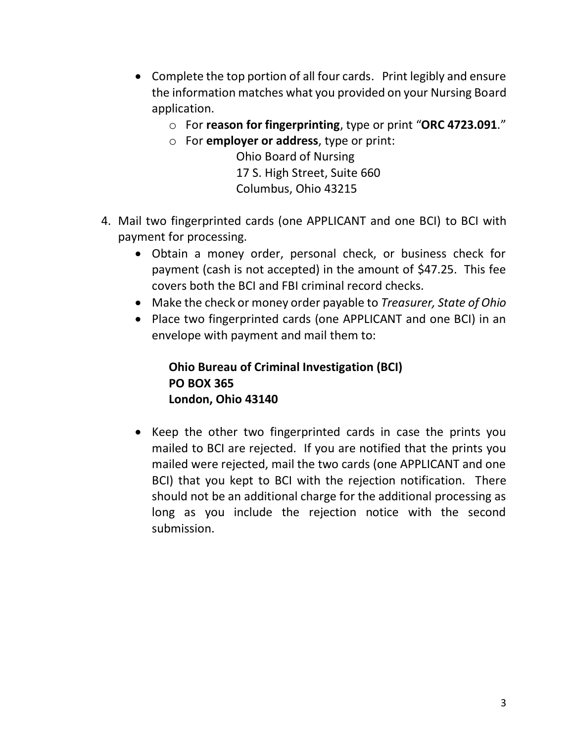- Complete the top portion of all four cards. Print legibly and ensure the information matches what you provided on your Nursing Board application.
	- o For **reason for fingerprinting**, type or print "**ORC 4723.091**."
	- o For **employer or address**, type or print:

Ohio Board of Nursing 17 S. High Street, Suite 660 Columbus, Ohio 43215

- 4. Mail two fingerprinted cards (one APPLICANT and one BCI) to BCI with payment for processing.
	- Obtain a money order, personal check, or business check for payment (cash is not accepted) in the amount of \$47.25. This fee covers both the BCI and FBI criminal record checks.
	- Make the check or money order payable to *Treasurer, State of Ohio*
	- Place two fingerprinted cards (one APPLICANT and one BCI) in an envelope with payment and mail them to:

**Ohio Bureau of Criminal Investigation (BCI) PO BOX 365 London, Ohio 43140**

• Keep the other two fingerprinted cards in case the prints you mailed to BCI are rejected. If you are notified that the prints you mailed were rejected, mail the two cards (one APPLICANT and one BCI) that you kept to BCI with the rejection notification. There should not be an additional charge for the additional processing as long as you include the rejection notice with the second submission.